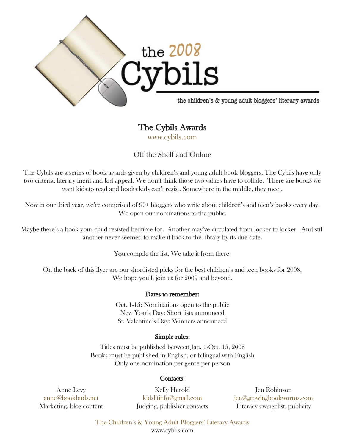

# The Cybils Awards

www.cybils.com

Off the Shelf and Online

The Cybils are a series of book awards given by children's and young adult book bloggers. The Cybils have only two criteria: literary merit and kid appeal. We don't think those two values have to collide. There are books we want kids to read and books kids can't resist. Somewhere in the middle, they meet.

Now in our third year, we're comprised of 90+ bloggers who write about children's and teen's books every day. We open our nominations to the public.

Maybe there's a book your child resisted bedtime for. Another may've circulated from locker to locker. And still another never seemed to make it back to the library by its due date.

You compile the list. We take it from there.

On the back of this flyer are our shortlisted picks for the best children's and teen books for 2008. We hope you'll join us for 2009 and beyond.

## Dates to remember:

Oct. 1-15: Nominations open to the public New Year's Day: Short lists announced St. Valentine's Day: Winners announced

## Simple rules:

Titles must be published between Jan. 1-Oct. 15, 2008 Books must be published in English, or bilingual with English Only one nomination per genre per person

#### Contacts:

Anne Levy anne@bookbuds.net Marketing, blog content

Kelly Herold kidslitinfo@gmail.com Judging, publisher contacts

Jen Robinson jen@growingbookworms.com Literacy evangelist, publicity

The Children's & Young Adult Bloggers' Literary Awards www.cybils.com